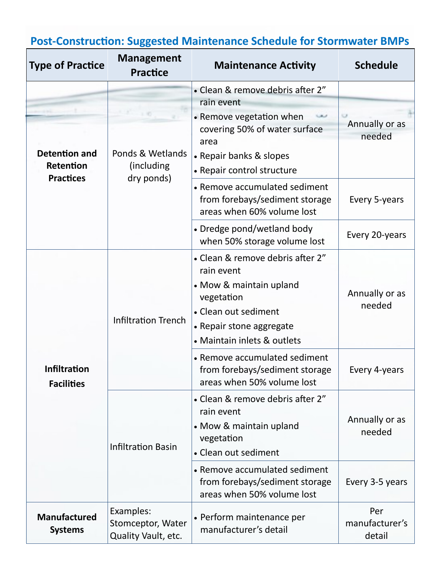| <b>Type of Practice</b>                  | <b>Management</b><br><b>Practice</b>                                                                  | <b>Maintenance Activity</b>                                                                                     | <b>Schedule</b>                 |
|------------------------------------------|-------------------------------------------------------------------------------------------------------|-----------------------------------------------------------------------------------------------------------------|---------------------------------|
|                                          | <b>Detention and</b><br>Ponds & Wetlands<br>Retention<br>(including<br><b>Practices</b><br>dry ponds) | • Clean & remove debris after 2"                                                                                |                                 |
|                                          |                                                                                                       | rain event                                                                                                      |                                 |
|                                          |                                                                                                       | • Remove vegetation when<br>covering 50% of water surface<br>area<br>• Repair banks & slopes                    | Annually or as<br>needed        |
|                                          |                                                                                                       | • Repair control structure                                                                                      |                                 |
|                                          |                                                                                                       | • Remove accumulated sediment<br>from forebays/sediment storage<br>areas when 60% volume lost                   | Every 5-years                   |
|                                          |                                                                                                       | • Dredge pond/wetland body<br>when 50% storage volume lost                                                      | Every 20-years                  |
| <b>Infiltration</b><br><b>Facilities</b> | <b>Infiltration Trench</b>                                                                            | • Clean & remove debris after 2"<br>rain event                                                                  |                                 |
|                                          |                                                                                                       | • Mow & maintain upland<br>vegetation                                                                           | Annually or as<br>needed        |
|                                          |                                                                                                       | • Clean out sediment                                                                                            |                                 |
|                                          |                                                                                                       | • Repair stone aggregate                                                                                        |                                 |
|                                          |                                                                                                       | • Maintain inlets & outlets                                                                                     |                                 |
|                                          |                                                                                                       | • Remove accumulated sediment<br>from forebays/sediment storage<br>areas when 50% volume lost                   | Every 4-years                   |
|                                          | <b>Infiltration Basin</b>                                                                             | • Clean & remove debris after 2"<br>rain event<br>• Mow & maintain upland<br>vegetation<br>• Clean out sediment | Annually or as<br>needed        |
|                                          |                                                                                                       | • Remove accumulated sediment<br>from forebays/sediment storage<br>areas when 50% volume lost                   | Every 3-5 years                 |
| <b>Manufactured</b><br><b>Systems</b>    | Examples:<br>Stomceptor, Water<br>Quality Vault, etc.                                                 | • Perform maintenance per<br>manufacturer's detail                                                              | Per<br>manufacturer's<br>detail |

## **Post-Construction: Suggested Maintenance Schedule for Stormwater BMPs**